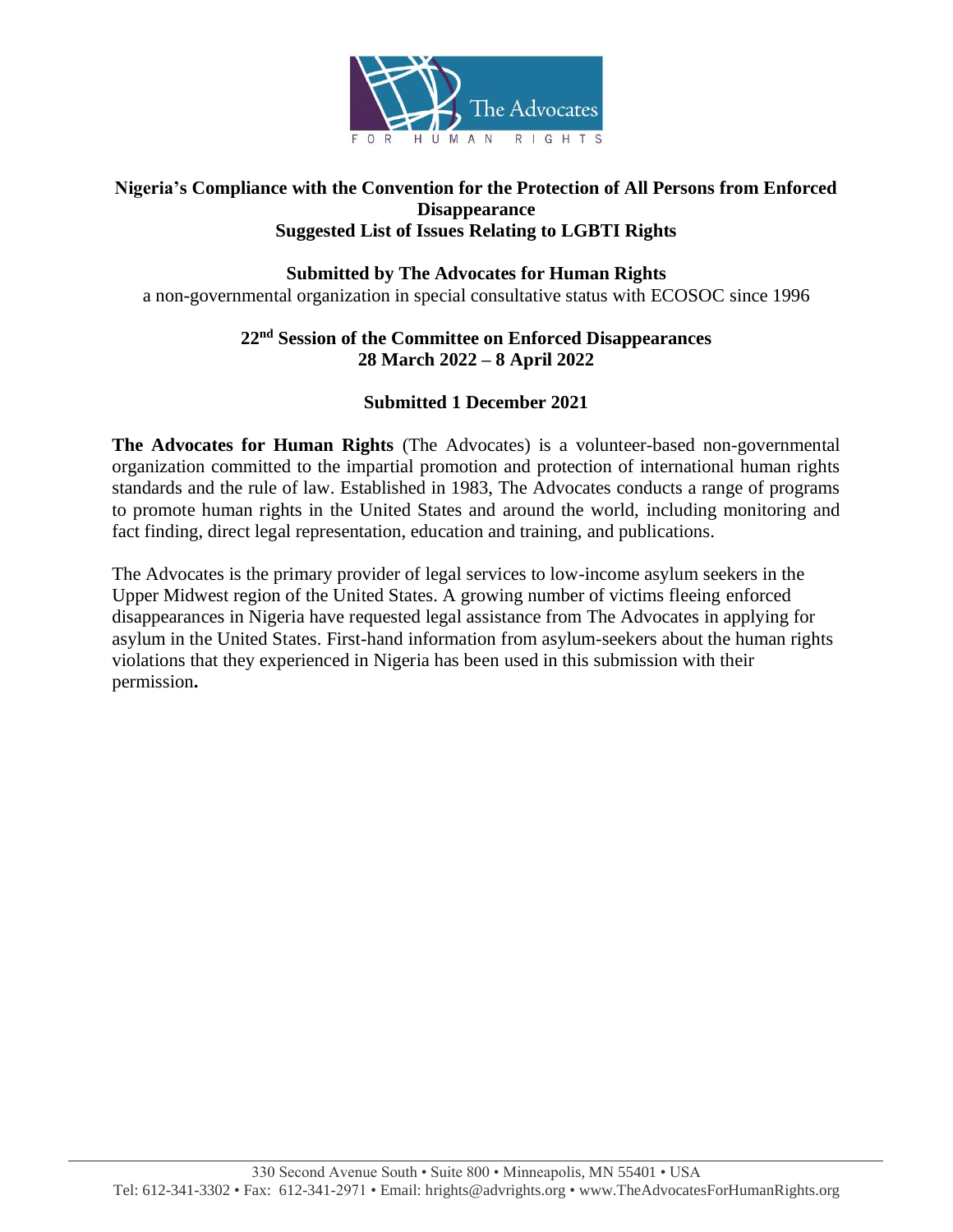

### **Nigeria's Compliance with the Convention for the Protection of All Persons from Enforced Disappearance Suggested List of Issues Relating to LGBTI Rights**

# **Submitted by The Advocates for Human Rights**

a non-governmental organization in special consultative status with ECOSOC since 1996

## **22nd Session of the Committee on Enforced Disappearances 28 March 2022 – 8 April 2022**

# **Submitted 1 December 2021**

**The Advocates for Human Rights** (The Advocates) is a volunteer-based non-governmental organization committed to the impartial promotion and protection of international human rights standards and the rule of law. Established in 1983, The Advocates conducts a range of programs to promote human rights in the United States and around the world, including monitoring and fact finding, direct legal representation, education and training, and publications.

The Advocates is the primary provider of legal services to low-income asylum seekers in the Upper Midwest region of the United States. A growing number of victims fleeing enforced disappearances in Nigeria have requested legal assistance from The Advocates in applying for asylum in the United States. First-hand information from asylum-seekers about the human rights violations that they experienced in Nigeria has been used in this submission with their permission**.**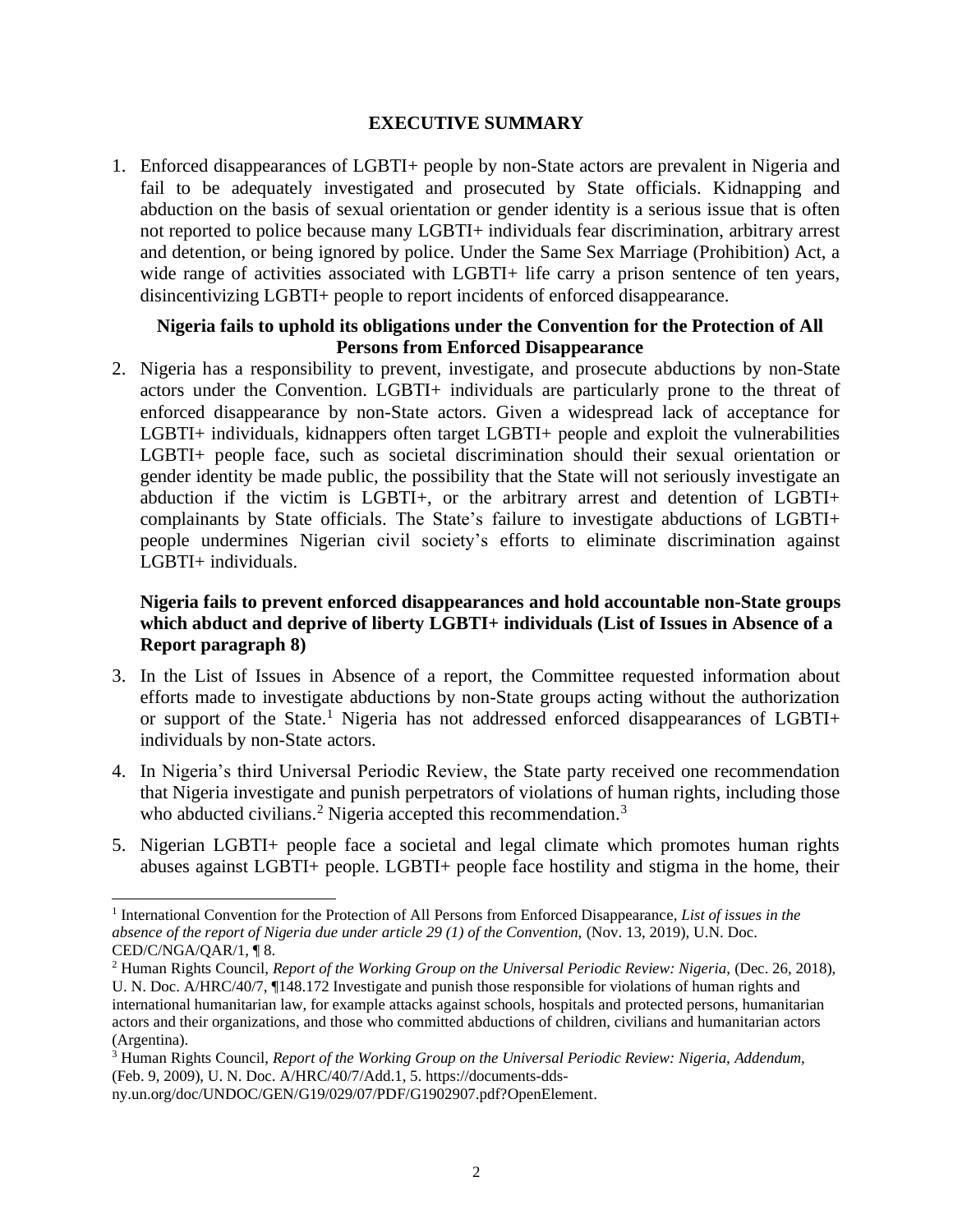#### **EXECUTIVE SUMMARY**

1. Enforced disappearances of LGBTI+ people by non-State actors are prevalent in Nigeria and fail to be adequately investigated and prosecuted by State officials. Kidnapping and abduction on the basis of sexual orientation or gender identity is a serious issue that is often not reported to police because many LGBTI+ individuals fear discrimination, arbitrary arrest and detention, or being ignored by police. Under the Same Sex Marriage (Prohibition) Act, a wide range of activities associated with LGBTI+ life carry a prison sentence of ten years, disincentivizing LGBTI+ people to report incidents of enforced disappearance.

### **Nigeria fails to uphold its obligations under the Convention for the Protection of All Persons from Enforced Disappearance**

2. Nigeria has a responsibility to prevent, investigate, and prosecute abductions by non-State actors under the Convention. LGBTI+ individuals are particularly prone to the threat of enforced disappearance by non-State actors. Given a widespread lack of acceptance for LGBTI+ individuals, kidnappers often target LGBTI+ people and exploit the vulnerabilities LGBTI+ people face, such as societal discrimination should their sexual orientation or gender identity be made public, the possibility that the State will not seriously investigate an abduction if the victim is LGBTI+, or the arbitrary arrest and detention of LGBTI+ complainants by State officials. The State's failure to investigate abductions of LGBTI+ people undermines Nigerian civil society's efforts to eliminate discrimination against LGBTI+ individuals.

## **Nigeria fails to prevent enforced disappearances and hold accountable non-State groups which abduct and deprive of liberty LGBTI+ individuals (List of Issues in Absence of a Report paragraph 8)**

- 3. In the List of Issues in Absence of a report, the Committee requested information about efforts made to investigate abductions by non-State groups acting without the authorization or support of the State. <sup>1</sup> Nigeria has not addressed enforced disappearances of LGBTI+ individuals by non-State actors.
- 4. In Nigeria's third Universal Periodic Review, the State party received one recommendation that Nigeria investigate and punish perpetrators of violations of human rights, including those who abducted civilians.<sup>2</sup> Nigeria accepted this recommendation.<sup>3</sup>
- 5. Nigerian LGBTI+ people face a societal and legal climate which promotes human rights abuses against LGBTI+ people. LGBTI+ people face hostility and stigma in the home, their

<sup>&</sup>lt;sup>1</sup> International Convention for the Protection of All Persons from Enforced Disappearance, *List of issues in the absence of the report of Nigeria due under article 29 (1) of the Convention,* (Nov. 13, 2019), U.N. Doc. CED/C/NGA/QAR/1, ¶ 8.

<sup>2</sup> Human Rights Council, *Report of the Working Group on the Universal Periodic Review: Nigeria,* (Dec. 26, 2018), U. N. Doc. A/HRC/40/7, ¶148.172 Investigate and punish those responsible for violations of human rights and international humanitarian law, for example attacks against schools, hospitals and protected persons, humanitarian actors and their organizations, and those who committed abductions of children, civilians and humanitarian actors (Argentina).

<sup>3</sup> Human Rights Council, *Report of the Working Group on the Universal Periodic Review: Nigeria, Addendum,* (Feb. 9, 2009), U. N. Doc. A/HRC/40/7/Add.1, 5. https://documents-dds-

ny.un.org/doc/UNDOC/GEN/G19/029/07/PDF/G1902907.pdf?OpenElement.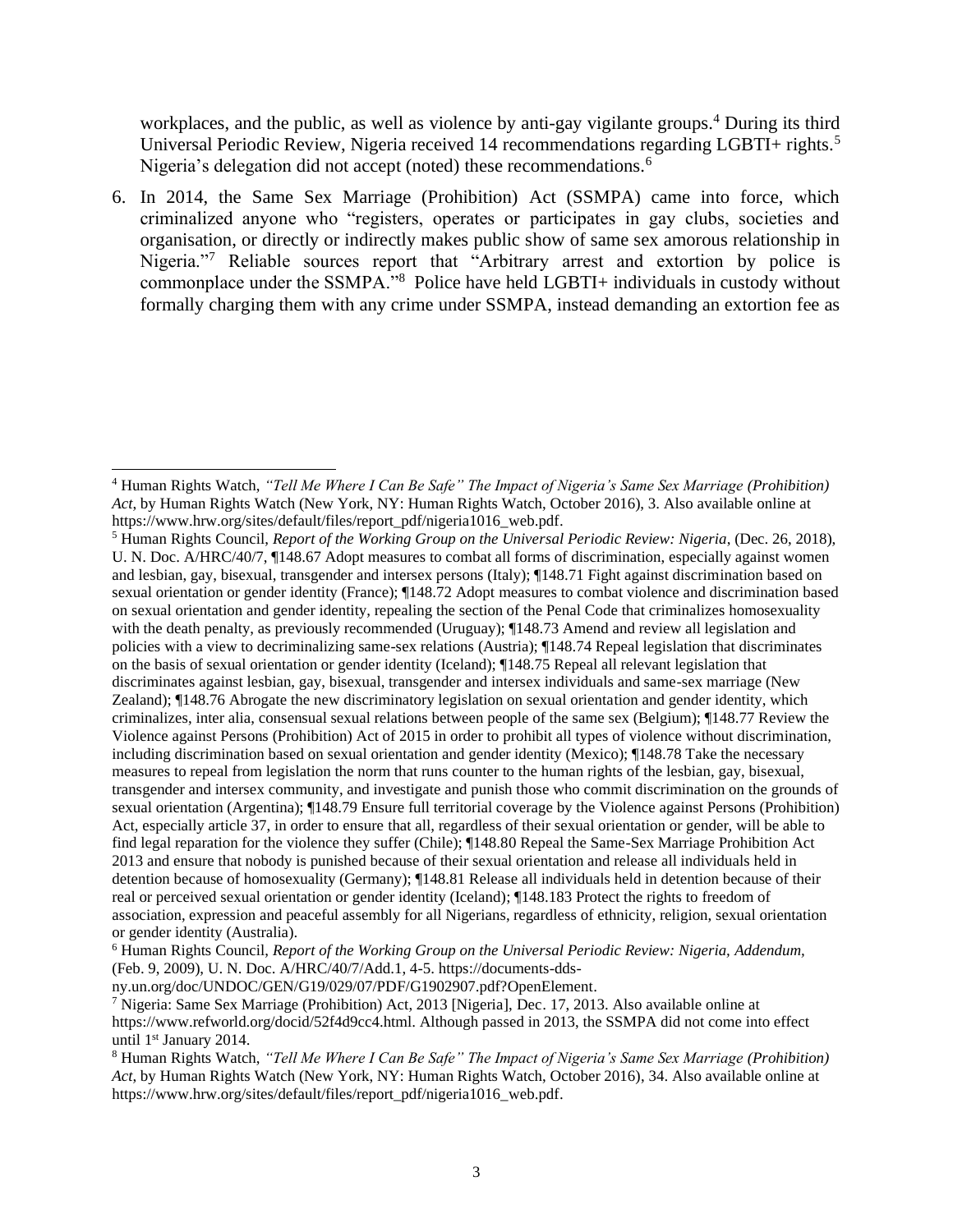workplaces, and the public, as well as violence by anti-gay vigilante groups.<sup>4</sup> During its third Universal Periodic Review, Nigeria received 14 recommendations regarding LGBTI+ rights.<sup>5</sup> Nigeria's delegation did not accept (noted) these recommendations.<sup>6</sup>

6. In 2014, the Same Sex Marriage (Prohibition) Act (SSMPA) came into force, which criminalized anyone who "registers, operates or participates in gay clubs, societies and organisation, or directly or indirectly makes public show of same sex amorous relationship in Nigeria."<sup>7</sup> Reliable sources report that "Arbitrary arrest and extortion by police is commonplace under the SSMPA."<sup>8</sup> Police have held LGBTI+ individuals in custody without formally charging them with any crime under SSMPA, instead demanding an extortion fee as

<sup>4</sup> Human Rights Watch, *"Tell Me Where I Can Be Safe" The Impact of Nigeria's Same Sex Marriage (Prohibition) Act*, by Human Rights Watch (New York, NY: Human Rights Watch, October 2016), 3. Also available online at https://www.hrw.org/sites/default/files/report\_pdf/nigeria1016\_web.pdf.

<sup>5</sup> Human Rights Council, *Report of the Working Group on the Universal Periodic Review: Nigeria*, (Dec. 26, 2018), U. N. Doc. A/HRC/40/7, ¶148.67 Adopt measures to combat all forms of discrimination, especially against women and lesbian, gay, bisexual, transgender and intersex persons (Italy); ¶148.71 Fight against discrimination based on sexual orientation or gender identity (France); ¶148.72 Adopt measures to combat violence and discrimination based on sexual orientation and gender identity, repealing the section of the Penal Code that criminalizes homosexuality with the death penalty, as previously recommended (Uruguay); ¶148.73 Amend and review all legislation and policies with a view to decriminalizing same-sex relations (Austria); ¶148.74 Repeal legislation that discriminates on the basis of sexual orientation or gender identity (Iceland); ¶148.75 Repeal all relevant legislation that discriminates against lesbian, gay, bisexual, transgender and intersex individuals and same-sex marriage (New Zealand); ¶148.76 Abrogate the new discriminatory legislation on sexual orientation and gender identity, which criminalizes, inter alia, consensual sexual relations between people of the same sex (Belgium); ¶148.77 Review the Violence against Persons (Prohibition) Act of 2015 in order to prohibit all types of violence without discrimination, including discrimination based on sexual orientation and gender identity (Mexico); ¶148.78 Take the necessary measures to repeal from legislation the norm that runs counter to the human rights of the lesbian, gay, bisexual, transgender and intersex community, and investigate and punish those who commit discrimination on the grounds of sexual orientation (Argentina); ¶148.79 Ensure full territorial coverage by the Violence against Persons (Prohibition) Act, especially article 37, in order to ensure that all, regardless of their sexual orientation or gender, will be able to find legal reparation for the violence they suffer (Chile); ¶148.80 Repeal the Same-Sex Marriage Prohibition Act 2013 and ensure that nobody is punished because of their sexual orientation and release all individuals held in detention because of homosexuality (Germany); ¶148.81 Release all individuals held in detention because of their real or perceived sexual orientation or gender identity (Iceland); ¶148.183 Protect the rights to freedom of association, expression and peaceful assembly for all Nigerians, regardless of ethnicity, religion, sexual orientation or gender identity (Australia).

<sup>6</sup> Human Rights Council, *Report of the Working Group on the Universal Periodic Review: Nigeria, Addendum,* (Feb. 9, 2009), U. N. Doc. A/HRC/40/7/Add.1, 4-5. https://documents-dds-

ny.un.org/doc/UNDOC/GEN/G19/029/07/PDF/G1902907.pdf?OpenElement.

<sup>7</sup> Nigeria: Same Sex Marriage (Prohibition) Act, 2013 [Nigeria], Dec. 17, 2013. Also available online at https://www.refworld.org/docid/52f4d9cc4.html. Although passed in 2013, the SSMPA did not come into effect until 1<sup>st</sup> January 2014.

<sup>8</sup> Human Rights Watch, *"Tell Me Where I Can Be Safe" The Impact of Nigeria's Same Sex Marriage (Prohibition) Act*, by Human Rights Watch (New York, NY: Human Rights Watch, October 2016), 34. Also available online at https://www.hrw.org/sites/default/files/report\_pdf/nigeria1016\_web.pdf.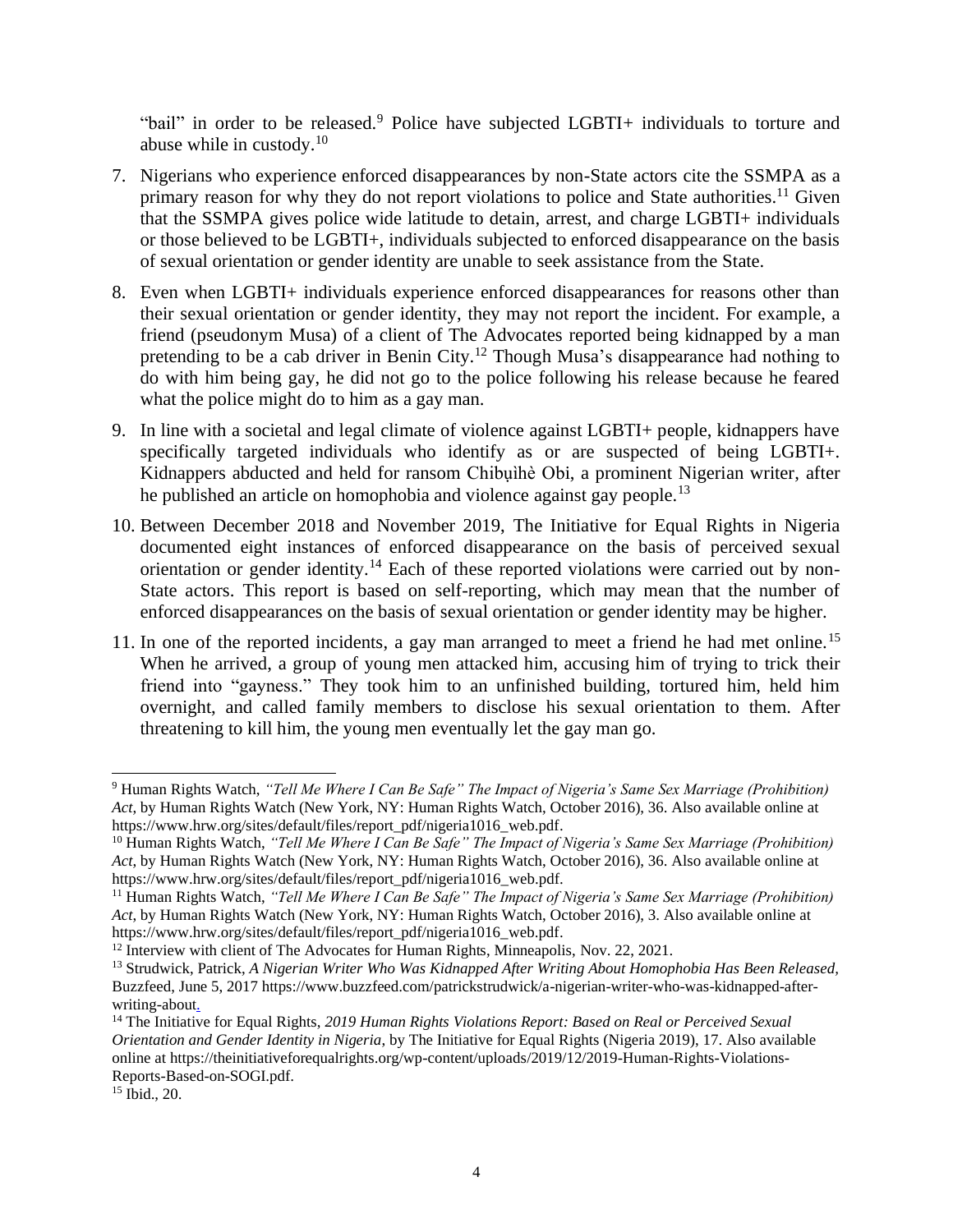"bail" in order to be released.<sup>9</sup> Police have subjected LGBTI+ individuals to torture and abuse while in custody. $10$ 

- 7. Nigerians who experience enforced disappearances by non-State actors cite the SSMPA as a primary reason for why they do not report violations to police and State authorities.<sup>11</sup> Given that the SSMPA gives police wide latitude to detain, arrest, and charge LGBTI+ individuals or those believed to be LGBTI+, individuals subjected to enforced disappearance on the basis of sexual orientation or gender identity are unable to seek assistance from the State.
- 8. Even when LGBTI+ individuals experience enforced disappearances for reasons other than their sexual orientation or gender identity, they may not report the incident. For example, a friend (pseudonym Musa) of a client of The Advocates reported being kidnapped by a man pretending to be a cab driver in Benin City.<sup>12</sup> Though Musa's disappearance had nothing to do with him being gay, he did not go to the police following his release because he feared what the police might do to him as a gay man.
- 9. In line with a societal and legal climate of violence against LGBTI+ people, kidnappers have specifically targeted individuals who identify as or are suspected of being LGBTI+. Kidnappers abducted and held for ransom Chibụìhè Obi, a prominent Nigerian writer, after he published an article on homophobia and violence against gay people.<sup>13</sup>
- 10. Between December 2018 and November 2019, The Initiative for Equal Rights in Nigeria documented eight instances of enforced disappearance on the basis of perceived sexual orientation or gender identity.<sup>14</sup> Each of these reported violations were carried out by non-State actors. This report is based on self-reporting, which may mean that the number of enforced disappearances on the basis of sexual orientation or gender identity may be higher.
- 11. In one of the reported incidents, a gay man arranged to meet a friend he had met online.<sup>15</sup> When he arrived, a group of young men attacked him, accusing him of trying to trick their friend into "gayness." They took him to an unfinished building, tortured him, held him overnight, and called family members to disclose his sexual orientation to them. After threatening to kill him, the young men eventually let the gay man go.

<sup>9</sup> Human Rights Watch, *"Tell Me Where I Can Be Safe" The Impact of Nigeria's Same Sex Marriage (Prohibition) Act*, by Human Rights Watch (New York, NY: Human Rights Watch, October 2016), 36. Also available online at https://www.hrw.org/sites/default/files/report\_pdf/nigeria1016\_web.pdf.

<sup>10</sup> Human Rights Watch, *"Tell Me Where I Can Be Safe" The Impact of Nigeria's Same Sex Marriage (Prohibition) Act*, by Human Rights Watch (New York, NY: Human Rights Watch, October 2016), 36. Also available online at https://www.hrw.org/sites/default/files/report\_pdf/nigeria1016\_web.pdf.

<sup>11</sup> Human Rights Watch, *"Tell Me Where I Can Be Safe" The Impact of Nigeria's Same Sex Marriage (Prohibition) Act*, by Human Rights Watch (New York, NY: Human Rights Watch, October 2016), 3. Also available online at https://www.hrw.org/sites/default/files/report\_pdf/nigeria1016\_web.pdf.

<sup>&</sup>lt;sup>12</sup> Interview with client of The Advocates for Human Rights, Minneapolis, Nov. 22, 2021.

<sup>13</sup> Strudwick, Patrick, *A Nigerian Writer Who Was Kidnapped After Writing About Homophobia Has Been Released,* Buzzfeed, June 5, 2017 https://www.buzzfeed.com/patrickstrudwick/a-nigerian-writer-who-was-kidnapped-afterwriting-about.

<sup>&</sup>lt;sup>14</sup> The Initiative for Equal Rights, 2019 Human Rights Violations Report: Based on Real or Perceived Sexual *Orientation and Gender Identity in Nigeria*, by The Initiative for Equal Rights (Nigeria 2019), 17. Also available online at https://theinitiativeforequalrights.org/wp-content/uploads/2019/12/2019-Human-Rights-Violations-Reports-Based-on-SOGI.pdf.

<sup>15</sup> Ibid., 20.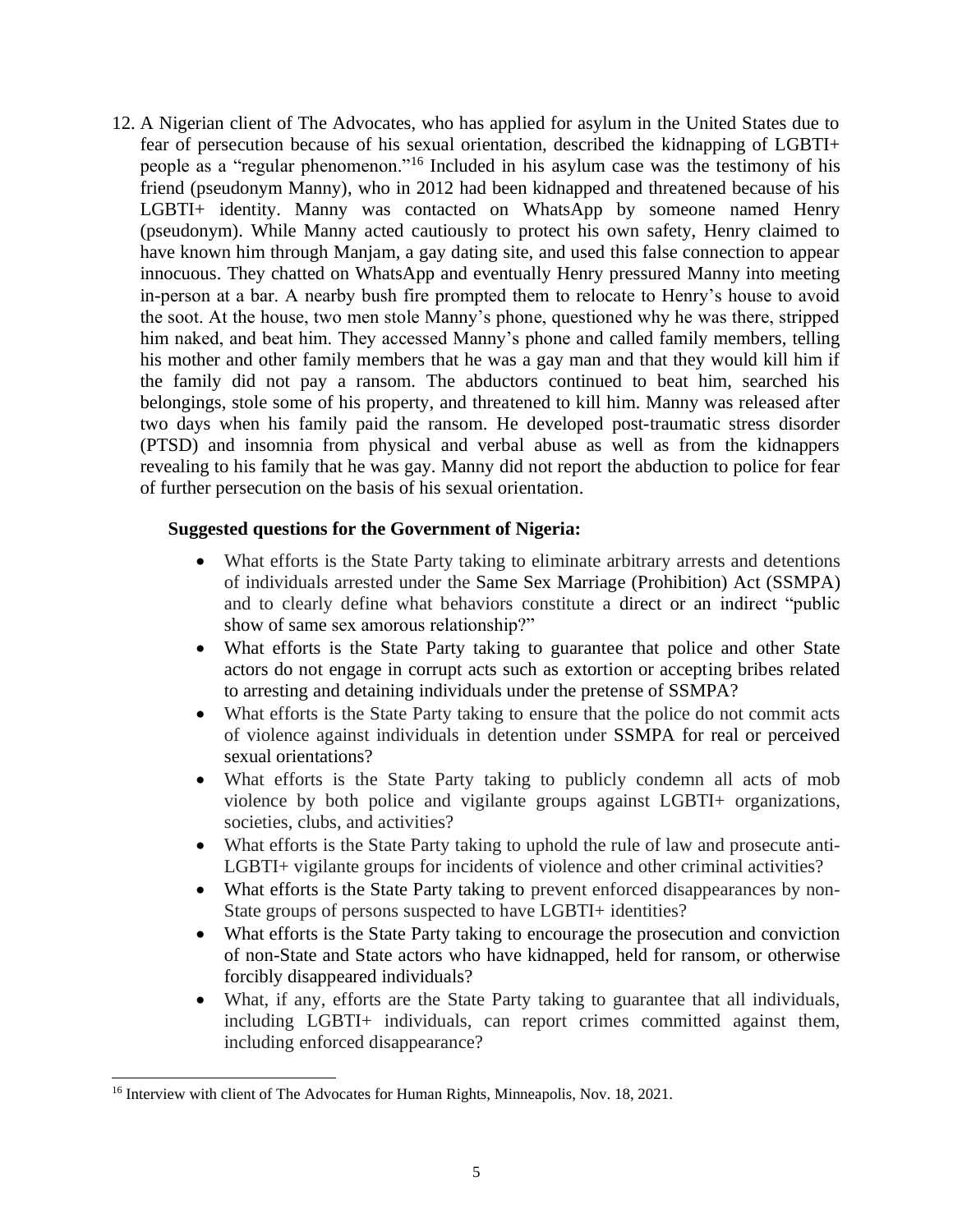12. A Nigerian client of The Advocates, who has applied for asylum in the United States due to fear of persecution because of his sexual orientation, described the kidnapping of LGBTI+ people as a "regular phenomenon."<sup>16</sup> Included in his asylum case was the testimony of his friend (pseudonym Manny), who in 2012 had been kidnapped and threatened because of his LGBTI+ identity. Manny was contacted on WhatsApp by someone named Henry (pseudonym). While Manny acted cautiously to protect his own safety, Henry claimed to have known him through Manjam, a gay dating site, and used this false connection to appear innocuous. They chatted on WhatsApp and eventually Henry pressured Manny into meeting in-person at a bar. A nearby bush fire prompted them to relocate to Henry's house to avoid the soot. At the house, two men stole Manny's phone, questioned why he was there, stripped him naked, and beat him. They accessed Manny's phone and called family members, telling his mother and other family members that he was a gay man and that they would kill him if the family did not pay a ransom. The abductors continued to beat him, searched his belongings, stole some of his property, and threatened to kill him. Manny was released after two days when his family paid the ransom. He developed post-traumatic stress disorder (PTSD) and insomnia from physical and verbal abuse as well as from the kidnappers revealing to his family that he was gay. Manny did not report the abduction to police for fear of further persecution on the basis of his sexual orientation.

#### **Suggested questions for the Government of Nigeria:**

- What efforts is the State Party taking to eliminate arbitrary arrests and detentions of individuals arrested under the Same Sex Marriage (Prohibition) Act (SSMPA) and to clearly define what behaviors constitute a direct or an indirect "public show of same sex amorous relationship?"
- What efforts is the State Party taking to guarantee that police and other State actors do not engage in corrupt acts such as extortion or accepting bribes related to arresting and detaining individuals under the pretense of SSMPA?
- What efforts is the State Party taking to ensure that the police do not commit acts of violence against individuals in detention under SSMPA for real or perceived sexual orientations?
- What efforts is the State Party taking to publicly condemn all acts of mob violence by both police and vigilante groups against LGBTI+ organizations, societies, clubs, and activities?
- What efforts is the State Party taking to uphold the rule of law and prosecute anti-LGBTI+ vigilante groups for incidents of violence and other criminal activities?
- What efforts is the State Party taking to prevent enforced disappearances by non-State groups of persons suspected to have LGBTI+ identities?
- What efforts is the State Party taking to encourage the prosecution and conviction of non-State and State actors who have kidnapped, held for ransom, or otherwise forcibly disappeared individuals?
- What, if any, efforts are the State Party taking to guarantee that all individuals, including LGBTI+ individuals, can report crimes committed against them, including enforced disappearance?

<sup>&</sup>lt;sup>16</sup> Interview with client of The Advocates for Human Rights, Minneapolis, Nov. 18, 2021.